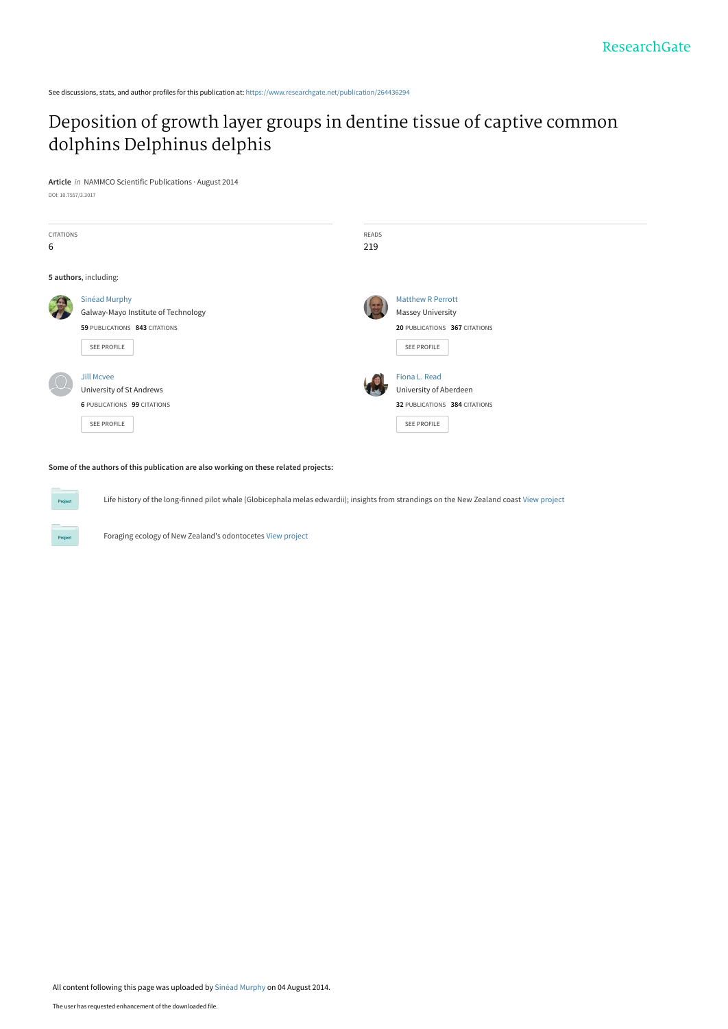See discussions, stats, and author profiles for this publication at: [https://www.researchgate.net/publication/264436294](https://www.researchgate.net/publication/264436294_Deposition_of_growth_layer_groups_in_dentine_tissue_of_captive_common_dolphins_Delphinus_delphis?enrichId=rgreq-f460e5250b9c3623bd90a7973e60c738-XXX&enrichSource=Y292ZXJQYWdlOzI2NDQzNjI5NDtBUzoxMjY0MzI0NzQ4MzI4OTZAMTQwNzE1NTI1OTI2OQ%3D%3D&el=1_x_2&_esc=publicationCoverPdf)

# [Deposition of growth layer groups in dentine tissue of captive common](https://www.researchgate.net/publication/264436294_Deposition_of_growth_layer_groups_in_dentine_tissue_of_captive_common_dolphins_Delphinus_delphis?enrichId=rgreq-f460e5250b9c3623bd90a7973e60c738-XXX&enrichSource=Y292ZXJQYWdlOzI2NDQzNjI5NDtBUzoxMjY0MzI0NzQ4MzI4OTZAMTQwNzE1NTI1OTI2OQ%3D%3D&el=1_x_3&_esc=publicationCoverPdf) dolphins Delphinus delphis

**Article** in NAMMCO Scientific Publications · August 2014 DOI: 10.7557/3.3017

| CITATIONS<br>6 |                                                                                                             | READS<br>219 |                                                                                                      |
|----------------|-------------------------------------------------------------------------------------------------------------|--------------|------------------------------------------------------------------------------------------------------|
|                | 5 authors, including:                                                                                       |              |                                                                                                      |
|                | Sinéad Murphy<br>Galway-Mayo Institute of Technology<br>59 PUBLICATIONS 843 CITATIONS<br><b>SEE PROFILE</b> |              | <b>Matthew R Perrott</b><br><b>Massey University</b><br>20 PUBLICATIONS 367 CITATIONS<br>SEE PROFILE |
|                | <b>Jill Mcvee</b><br>University of St Andrews<br><b>6 PUBLICATIONS 99 CITATIONS</b><br><b>SEE PROFILE</b>   |              | Fiona L. Read<br>University of Aberdeen<br>32 PUBLICATIONS 384 CITATIONS<br>SEE PROFILE              |

#### **Some of the authors of this publication are also working on these related projects:**

**Project** 

Life history of the long-finned pilot whale (Globicephala melas edwardii); insights from strandings on the New Zealand coast [View project](https://www.researchgate.net/project/Life-history-of-the-long-finned-pilot-whale-Globicephala-melas-edwardii-insights-from-strandings-on-the-New-Zealand-coast?enrichId=rgreq-f460e5250b9c3623bd90a7973e60c738-XXX&enrichSource=Y292ZXJQYWdlOzI2NDQzNjI5NDtBUzoxMjY0MzI0NzQ4MzI4OTZAMTQwNzE1NTI1OTI2OQ%3D%3D&el=1_x_9&_esc=publicationCoverPdf)

Foraging ecology of New Zealand's odontocetes [View project](https://www.researchgate.net/project/Foraging-ecology-of-New-Zealands-odontocetes?enrichId=rgreq-f460e5250b9c3623bd90a7973e60c738-XXX&enrichSource=Y292ZXJQYWdlOzI2NDQzNjI5NDtBUzoxMjY0MzI0NzQ4MzI4OTZAMTQwNzE1NTI1OTI2OQ%3D%3D&el=1_x_9&_esc=publicationCoverPdf)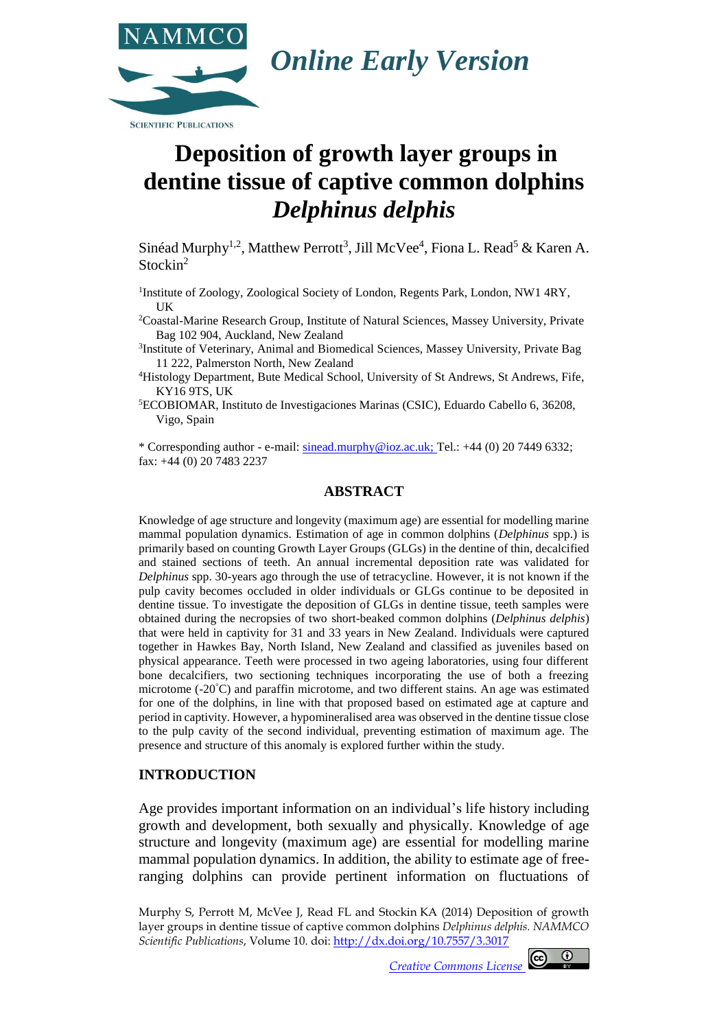

# **Deposition of growth layer groups in dentine tissue of captive common dolphins**  *Delphinus delphis*

Sinéad Murphy<sup>1,2</sup>, Matthew Perrott<sup>3</sup>, Jill McVee<sup>4</sup>, Fiona L. Read<sup>5</sup> & Karen A. Stockin<sup>2</sup>

<sup>1</sup>Institute of Zoology, Zoological Society of London, Regents Park, London, NW1 4RY, UK

<sup>2</sup>Coastal-Marine Research Group, Institute of Natural Sciences, Massey University, Private Bag 102 904, Auckland, New Zealand

<sup>3</sup>Institute of Veterinary, Animal and Biomedical Sciences, Massey University, Private Bag 11 222, Palmerston North, New Zealand

<sup>4</sup>Histology Department, Bute Medical School, University of St Andrews, St Andrews, Fife, KY16 9TS, UK

<sup>5</sup>ECOBIOMAR, Instituto de Investigaciones Marinas (CSIC), Eduardo Cabello 6, 36208, Vigo, Spain

\* Corresponding author - e-mail[: sinead.murphy@ioz.ac.uk;](mailto:sinead.murphy@ioz.ac.uk) Tel.: +44 (0) 20 7449 6332; fax: +44 (0) 20 7483 2237

### **ABSTRACT**

Knowledge of age structure and longevity (maximum age) are essential for modelling marine mammal population dynamics. Estimation of age in common dolphins (*Delphinus* spp.) is primarily based on counting Growth Layer Groups (GLGs) in the dentine of thin, decalcified and stained sections of teeth. An annual incremental deposition rate was validated for *Delphinus* spp. 30-years ago through the use of tetracycline. However, it is not known if the pulp cavity becomes occluded in older individuals or GLGs continue to be deposited in dentine tissue. To investigate the deposition of GLGs in dentine tissue, teeth samples were obtained during the necropsies of two short-beaked common dolphins (*Delphinus delphis*) that were held in captivity for 31 and 33 years in New Zealand. Individuals were captured together in Hawkes Bay, North Island, New Zealand and classified as juveniles based on physical appearance. Teeth were processed in two ageing laboratories, using four different bone decalcifiers, two sectioning techniques incorporating the use of both a freezing microtome (-20°C) and paraffin microtome, and two different stains. An age was estimated for one of the dolphins, in line with that proposed based on estimated age at capture and period in captivity. However, a hypomineralised area was observed in the dentine tissue close to the pulp cavity of the second individual, preventing estimation of maximum age. The presence and structure of this anomaly is explored further within the study.

#### **INTRODUCTION**

Age provides important information on an individual's life history including growth and development, both sexually and physically. Knowledge of age structure and longevity (maximum age) are essential for modelling marine mammal population dynamics. In addition, the ability to estimate age of freeranging dolphins can provide pertinent information on fluctuations of

Murphy S, Perrott M, McVee J, Read FL and Stockin KA (2014) Deposition of growth layer groups in dentine tissue of captive common dolphins *Delphinus delphis. NAMMCO Scientific Publications*, Volume 10. doi[: http://dx.doi.org/10.7557/3.3](http://dx.doi.org/10.7557/3.XXXX)017

*[Creative Commons License](http://creativecommons.org/licenses/by/3.0/)* 

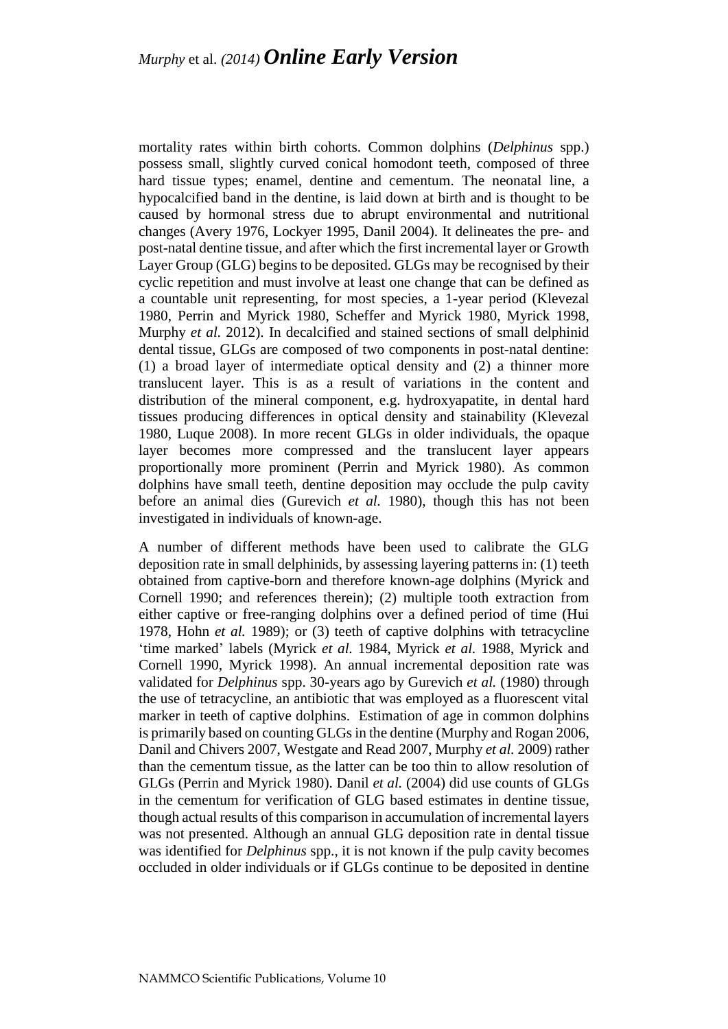mortality rates within birth cohorts. Common dolphins (*Delphinus* spp.) possess small, slightly curved conical homodont teeth, composed of three hard tissue types; enamel, dentine and cementum. The neonatal line, a hypocalcified band in the dentine, is laid down at birth and is thought to be caused by hormonal stress due to abrupt environmental and nutritional changes (Avery 1976, Lockyer 1995, Danil 2004). It delineates the pre- and post-natal dentine tissue, and after which the first incremental layer or Growth Layer Group (GLG) begins to be deposited. GLGs may be recognised by their cyclic repetition and must involve at least one change that can be defined as a countable unit representing, for most species, a 1-year period (Klevezal 1980, Perrin and Myrick 1980, Scheffer and Myrick 1980, Myrick 1998, Murphy *et al.* 2012). In decalcified and stained sections of small delphinid dental tissue, GLGs are composed of two components in post-natal dentine: (1) a broad layer of intermediate optical density and (2) a thinner more translucent layer. This is as a result of variations in the content and distribution of the mineral component, e.g. hydroxyapatite, in dental hard tissues producing differences in optical density and stainability (Klevezal 1980, Luque 2008). In more recent GLGs in older individuals, the opaque layer becomes more compressed and the translucent layer appears proportionally more prominent (Perrin and Myrick 1980). As common dolphins have small teeth, dentine deposition may occlude the pulp cavity before an animal dies (Gurevich *et al.* 1980), though this has not been investigated in individuals of known-age.

A number of different methods have been used to calibrate the GLG deposition rate in small delphinids, by assessing layering patterns in: (1) teeth obtained from captive-born and therefore known-age dolphins (Myrick and Cornell 1990; and references therein); (2) multiple tooth extraction from either captive or free-ranging dolphins over a defined period of time (Hui 1978, Hohn *et al.* 1989); or (3) teeth of captive dolphins with tetracycline 'time marked' labels (Myrick *et al.* 1984, Myrick *et al.* 1988, Myrick and Cornell 1990, Myrick 1998). An annual incremental deposition rate was validated for *Delphinus* spp. 30-years ago by Gurevich *et al.* (1980) through the use of tetracycline, an antibiotic that was employed as a fluorescent vital marker in teeth of captive dolphins. Estimation of age in common dolphins is primarily based on counting GLGs in the dentine (Murphy and Rogan 2006, Danil and Chivers 2007, Westgate and Read 2007, Murphy *et al.* 2009) rather than the cementum tissue, as the latter can be too thin to allow resolution of GLGs (Perrin and Myrick 1980). Danil *et al.* (2004) did use counts of GLGs in the cementum for verification of GLG based estimates in dentine tissue, though actual results of this comparison in accumulation of incremental layers was not presented. Although an annual GLG deposition rate in dental tissue was identified for *Delphinus* spp., it is not known if the pulp cavity becomes occluded in older individuals or if GLGs continue to be deposited in dentine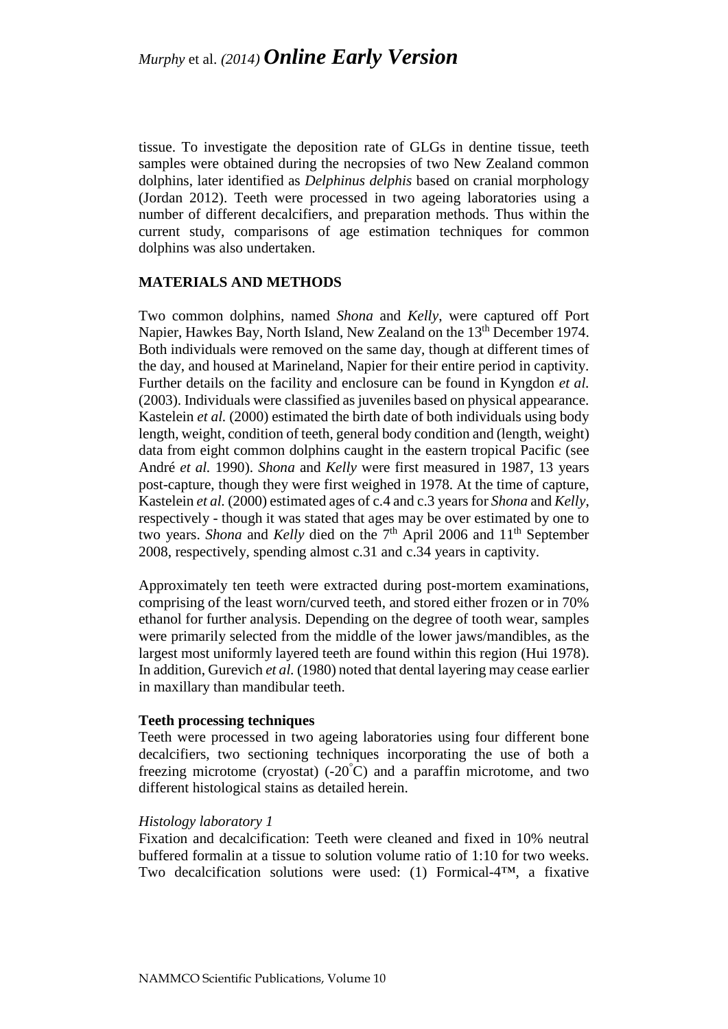tissue. To investigate the deposition rate of GLGs in dentine tissue, teeth samples were obtained during the necropsies of two New Zealand common dolphins, later identified as *Delphinus delphis* based on cranial morphology (Jordan 2012). Teeth were processed in two ageing laboratories using a number of different decalcifiers, and preparation methods. Thus within the current study, comparisons of age estimation techniques for common dolphins was also undertaken.

## **MATERIALS AND METHODS**

Two common dolphins, named *Shona* and *Kelly*, were captured off Port Napier, Hawkes Bay, North Island, New Zealand on the 13<sup>th</sup> December 1974. Both individuals were removed on the same day, though at different times of the day, and housed at Marineland, Napier for their entire period in captivity. Further details on the facility and enclosure can be found in Kyngdon *et al.* (2003). Individuals were classified as juveniles based on physical appearance. Kastelein *et al.* (2000) estimated the birth date of both individuals using body length, weight, condition of teeth, general body condition and (length, weight) data from eight common dolphins caught in the eastern tropical Pacific (see André *et al.* 1990). *Shona* and *Kelly* were first measured in 1987, 13 years post-capture, though they were first weighed in 1978. At the time of capture, Kastelein *et al.* (2000) estimated ages of c.4 and c.3 years for *Shona* and *Kelly*, respectively - though it was stated that ages may be over estimated by one to two years. *Shona* and *Kelly* died on the 7<sup>th</sup> April 2006 and 11<sup>th</sup> September 2008, respectively, spending almost c.31 and c.34 years in captivity.

Approximately ten teeth were extracted during post-mortem examinations, comprising of the least worn/curved teeth, and stored either frozen or in 70% ethanol for further analysis. Depending on the degree of tooth wear, samples were primarily selected from the middle of the lower jaws/mandibles, as the largest most uniformly layered teeth are found within this region (Hui 1978). In addition, Gurevich *et al.* (1980) noted that dental layering may cease earlier in maxillary than mandibular teeth.

## **Teeth processing techniques**

Teeth were processed in two ageing laboratories using four different bone decalcifiers, two sectioning techniques incorporating the use of both a freezing microtome (cryostat)  $(-20^{\circ}C)$  and a paraffin microtome, and two different histological stains as detailed herein.

## *Histology laboratory 1*

Fixation and decalcification: Teeth were cleaned and fixed in 10% neutral buffered formalin at a tissue to solution volume ratio of 1:10 for two weeks. Two decalcification solutions were used: (1) Formical-4™, a fixative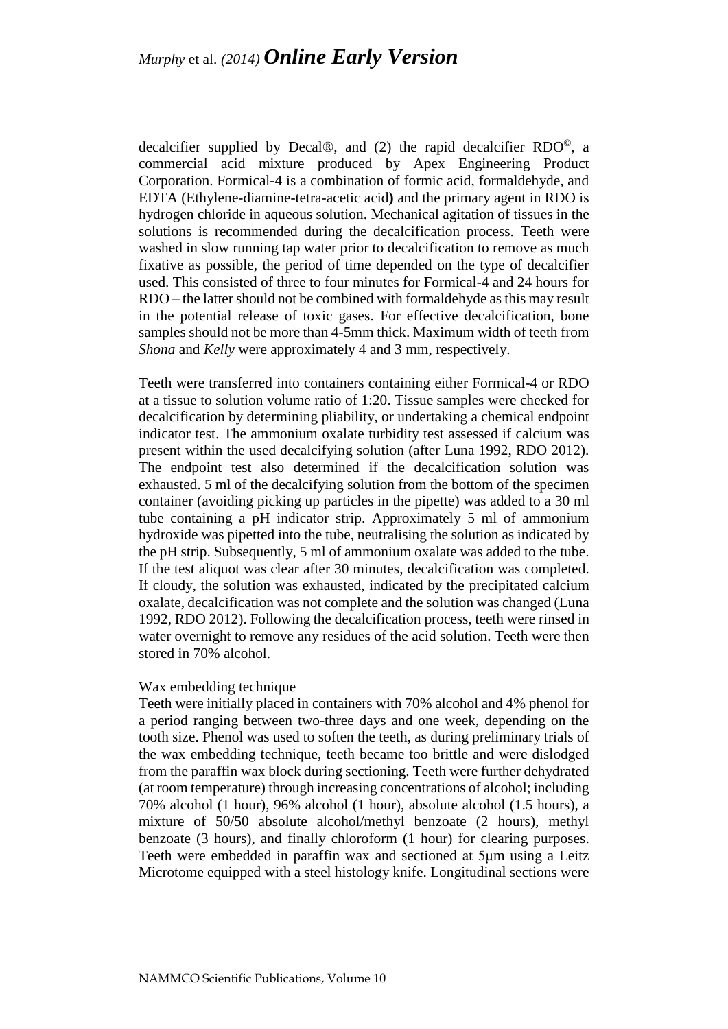decalcifier supplied by Decal®, and (2) the rapid decalcifier  $RDO^{\circ}$ , a commercial acid mixture produced by Apex Engineering Product Corporation. Formical-4 is a combination of formic acid, formaldehyde, and EDTA (Ethylene-diamine-tetra-acetic acid**)** and the primary agent in RDO is hydrogen chloride in aqueous solution. Mechanical agitation of tissues in the solutions is recommended during the decalcification process. Teeth were washed in slow running tap water prior to decalcification to remove as much fixative as possible, the period of time depended on the type of decalcifier used. This consisted of three to four minutes for Formical-4 and 24 hours for RDO – the latter should not be combined with formaldehyde as this may result in the potential release of toxic gases. For effective decalcification, bone samples should not be more than 4-5mm thick. Maximum width of teeth from *Shona* and *Kelly* were approximately 4 and 3 mm, respectively.

Teeth were transferred into containers containing either Formical-4 or RDO at a tissue to solution volume ratio of 1:20. Tissue samples were checked for decalcification by determining pliability, or undertaking a chemical endpoint indicator test. The ammonium oxalate turbidity test assessed if calcium was present within the used decalcifying solution (after Luna 1992, RDO 2012). The endpoint test also determined if the decalcification solution was exhausted. 5 ml of the decalcifying solution from the bottom of the specimen container (avoiding picking up particles in the pipette) was added to a 30 ml tube containing a pH indicator strip. Approximately 5 ml of ammonium hydroxide was pipetted into the tube, neutralising the solution as indicated by the pH strip. Subsequently, 5 ml of ammonium oxalate was added to the tube. If the test aliquot was clear after 30 minutes, decalcification was completed. If cloudy, the solution was exhausted, indicated by the precipitated calcium oxalate, decalcification was not complete and the solution was changed (Luna 1992, RDO 2012). Following the decalcification process, teeth were rinsed in water overnight to remove any residues of the acid solution. Teeth were then stored in 70% alcohol.

### Wax embedding technique

Teeth were initially placed in containers with 70% alcohol and 4% phenol for a period ranging between two-three days and one week, depending on the tooth size. Phenol was used to soften the teeth, as during preliminary trials of the wax embedding technique, teeth became too brittle and were dislodged from the paraffin wax block during sectioning. Teeth were further dehydrated (at room temperature) through increasing concentrations of alcohol; including 70% alcohol (1 hour), 96% alcohol (1 hour), absolute alcohol (1.5 hours), a mixture of 50/50 absolute alcohol/methyl benzoate (2 hours), methyl benzoate (3 hours), and finally chloroform (1 hour) for clearing purposes. Teeth were embedded in paraffin wax and sectioned at 5μm using a Leitz Microtome equipped with a steel histology knife. Longitudinal sections were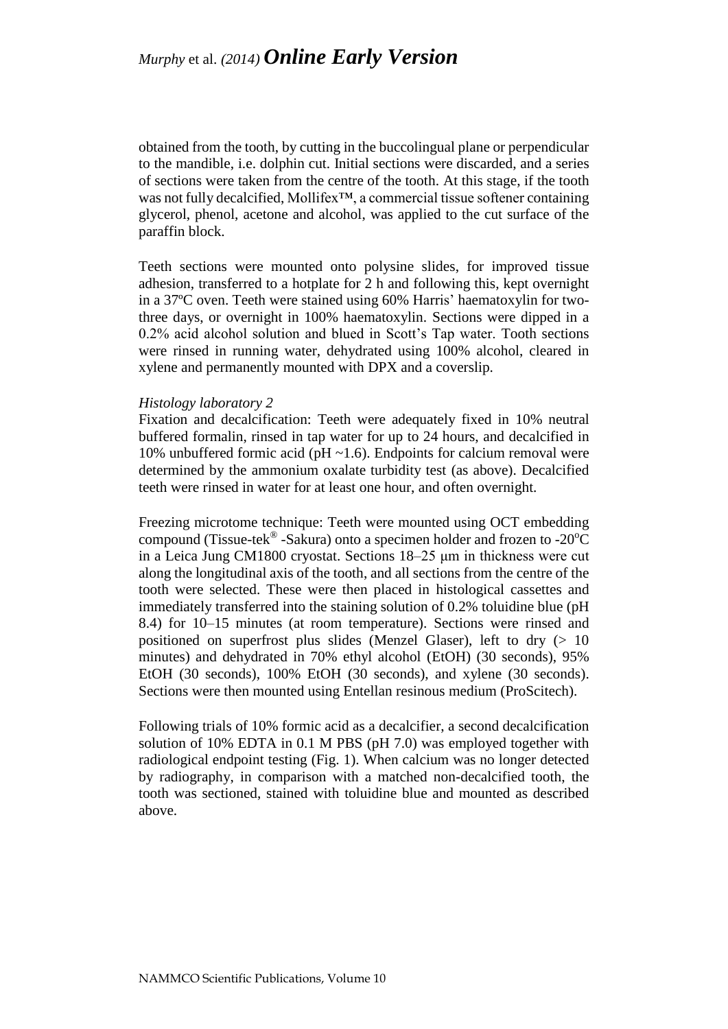obtained from the tooth, by cutting in the buccolingual plane or perpendicular to the mandible, i.e. dolphin cut. Initial sections were discarded, and a series of sections were taken from the centre of the tooth. At this stage, if the tooth was not fully decalcified, Mollifex™, a commercial tissue softener containing glycerol, phenol, acetone and alcohol, was applied to the cut surface of the paraffin block.

Teeth sections were mounted onto polysine slides, for improved tissue adhesion, transferred to a hotplate for 2 h and following this, kept overnight in a 37ºC oven. Teeth were stained using 60% Harris' haematoxylin for twothree days, or overnight in 100% haematoxylin. Sections were dipped in a 0.2% acid alcohol solution and blued in Scott's Tap water. Tooth sections were rinsed in running water, dehydrated using 100% alcohol, cleared in xylene and permanently mounted with DPX and a coverslip.

### *Histology laboratory 2*

Fixation and decalcification: Teeth were adequately fixed in 10% neutral buffered formalin, rinsed in tap water for up to 24 hours, and decalcified in 10% unbuffered formic acid ( $pH \sim 1.6$ ). Endpoints for calcium removal were determined by the ammonium oxalate turbidity test (as above). Decalcified teeth were rinsed in water for at least one hour, and often overnight.

Freezing microtome technique: Teeth were mounted using OCT embedding compound (Tissue-tek<sup>®</sup> -Sakura) onto a specimen holder and frozen to -20 $\rm ^{o}C$ in a Leica Jung CM1800 cryostat. Sections 18–25 μm in thickness were cut along the longitudinal axis of the tooth, and all sections from the centre of the tooth were selected. These were then placed in histological cassettes and immediately transferred into the staining solution of 0.2% toluidine blue (pH 8.4) for 10–15 minutes (at room temperature). Sections were rinsed and positioned on superfrost plus slides (Menzel Glaser), left to dry  $(> 10$ minutes) and dehydrated in 70% ethyl alcohol (EtOH) (30 seconds), 95% EtOH (30 seconds), 100% EtOH (30 seconds), and xylene (30 seconds). Sections were then mounted using Entellan resinous medium (ProScitech).

Following trials of 10% formic acid as a decalcifier, a second decalcification solution of 10% EDTA in 0.1 M PBS (pH 7.0) was employed together with radiological endpoint testing (Fig. 1). When calcium was no longer detected by radiography, in comparison with a matched non-decalcified tooth, the tooth was sectioned, stained with toluidine blue and mounted as described above.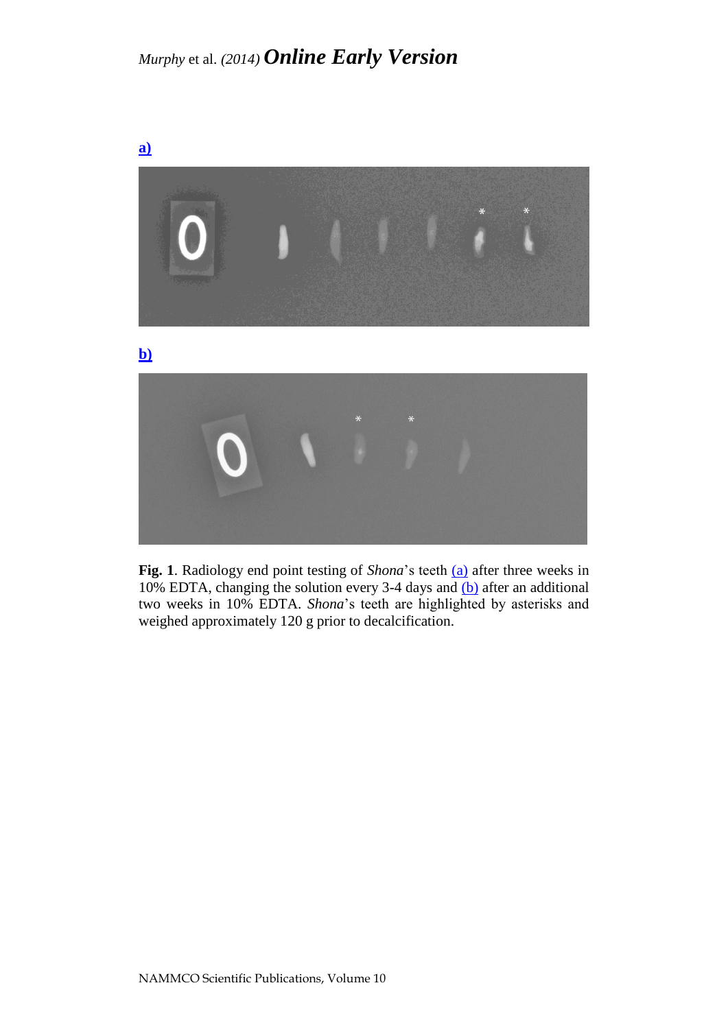

**Fig. 1**. Radiology end point testing of *Shona*'s teeth [\(a\)](http://septentrio.uit.no/index.php/NAMMCOSP/editor/downloadFile/3017/11727) after three weeks in 10% EDTA, changing the solution every 3-4 days and [\(b\)](http://septentrio.uit.no/index.php/NAMMCOSP/editor/downloadFile/3017/11728) after an additional two weeks in 10% EDTA. *Shona*'s teeth are highlighted by asterisks and weighed approximately 120 g prior to decalcification.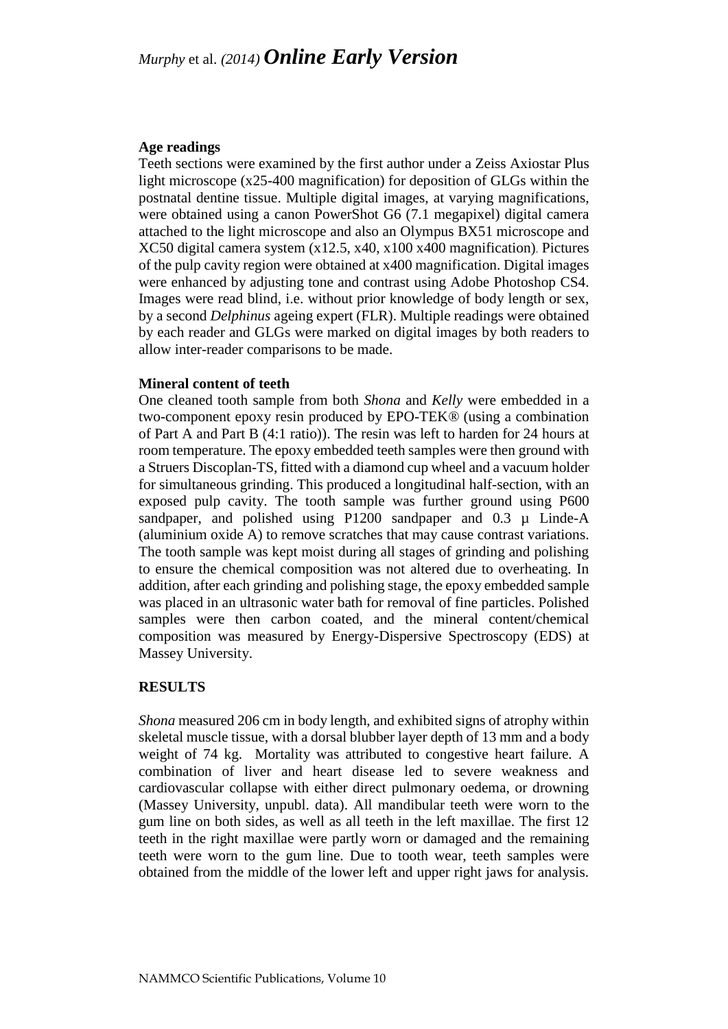### **Age readings**

Teeth sections were examined by the first author under a Zeiss Axiostar Plus light microscope (x25-400 magnification) for deposition of GLGs within the postnatal dentine tissue. Multiple digital images, at varying magnifications, were obtained using a canon PowerShot G6 (7.1 megapixel) digital camera attached to the light microscope and also an Olympus BX51 microscope and XC50 digital camera system (x12.5, x40, x100 x400 magnification). Pictures of the pulp cavity region were obtained at x400 magnification. Digital images were enhanced by adjusting tone and contrast using Adobe Photoshop CS4. Images were read blind, i.e. without prior knowledge of body length or sex, by a second *Delphinus* ageing expert (FLR). Multiple readings were obtained by each reader and GLGs were marked on digital images by both readers to allow inter-reader comparisons to be made.

### **Mineral content of teeth**

One cleaned tooth sample from both *Shona* and *Kelly* were embedded in a two-component epoxy resin produced by EPO*-*TEK*®* (using a combination of Part A and Part B (4:1 ratio)). The resin was left to harden for 24 hours at room temperature. The epoxy embedded teeth samples were then ground with a Struers Discoplan-TS, fitted with a diamond cup wheel and a vacuum holder for simultaneous grinding. This produced a longitudinal half-section, with an exposed pulp cavity. The tooth sample was further ground using P600 sandpaper, and polished using P1200 sandpaper and 0.3  $\mu$  Linde-A (aluminium oxide A) to remove scratches that may cause contrast variations. The tooth sample was kept moist during all stages of grinding and polishing to ensure the chemical composition was not altered due to overheating. In addition, after each grinding and polishing stage, the epoxy embedded sample was placed in an ultrasonic water bath for removal of fine particles. Polished samples were then carbon coated, and the mineral content/chemical composition was measured by Energy-Dispersive Spectroscopy (EDS) at Massey University.

## **RESULTS**

*Shona* measured 206 cm in body length, and exhibited signs of atrophy within skeletal muscle tissue, with a dorsal blubber layer depth of 13 mm and a body weight of 74 kg. Mortality was attributed to congestive heart failure. A combination of liver and heart disease led to severe weakness and cardiovascular collapse with either direct pulmonary oedema, or drowning (Massey University, unpubl. data). All mandibular teeth were worn to the gum line on both sides, as well as all teeth in the left maxillae. The first 12 teeth in the right maxillae were partly worn or damaged and the remaining teeth were worn to the gum line. Due to tooth wear, teeth samples were obtained from the middle of the lower left and upper right jaws for analysis.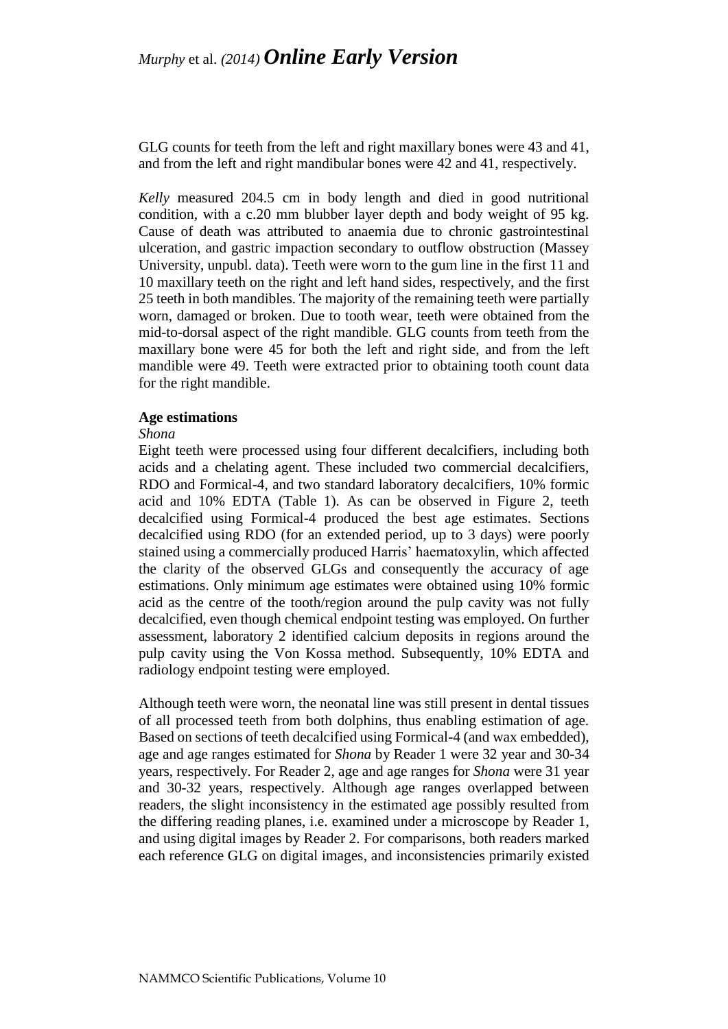GLG counts for teeth from the left and right maxillary bones were 43 and 41, and from the left and right mandibular bones were 42 and 41, respectively.

*Kelly* measured 204.5 cm in body length and died in good nutritional condition, with a c.20 mm blubber layer depth and body weight of 95 kg. Cause of death was attributed to anaemia due to chronic gastrointestinal ulceration, and gastric impaction secondary to outflow obstruction (Massey University, unpubl. data). Teeth were worn to the gum line in the first 11 and 10 maxillary teeth on the right and left hand sides, respectively, and the first 25 teeth in both mandibles. The majority of the remaining teeth were partially worn, damaged or broken. Due to tooth wear, teeth were obtained from the mid-to-dorsal aspect of the right mandible. GLG counts from teeth from the maxillary bone were 45 for both the left and right side, and from the left mandible were 49. Teeth were extracted prior to obtaining tooth count data for the right mandible.

#### **Age estimations**

#### *Shona*

Eight teeth were processed using four different decalcifiers, including both acids and a chelating agent. These included two commercial decalcifiers, RDO and Formical-4, and two standard laboratory decalcifiers, 10% formic acid and 10% EDTA (Table 1). As can be observed in Figure 2, teeth decalcified using Formical-4 produced the best age estimates. Sections decalcified using RDO (for an extended period, up to 3 days) were poorly stained using a commercially produced Harris' haematoxylin, which affected the clarity of the observed GLGs and consequently the accuracy of age estimations. Only minimum age estimates were obtained using 10% formic acid as the centre of the tooth/region around the pulp cavity was not fully decalcified, even though chemical endpoint testing was employed. On further assessment, laboratory 2 identified calcium deposits in regions around the pulp cavity using the Von Kossa method. Subsequently, 10% EDTA and radiology endpoint testing were employed.

Although teeth were worn, the neonatal line was still present in dental tissues of all processed teeth from both dolphins, thus enabling estimation of age. Based on sections of teeth decalcified using Formical-4 (and wax embedded), age and age ranges estimated for *Shona* by Reader 1 were 32 year and 30-34 years, respectively. For Reader 2, age and age ranges for *Shona* were 31 year and 30-32 years, respectively. Although age ranges overlapped between readers, the slight inconsistency in the estimated age possibly resulted from the differing reading planes, i.e. examined under a microscope by Reader 1, and using digital images by Reader 2. For comparisons, both readers marked each reference GLG on digital images, and inconsistencies primarily existed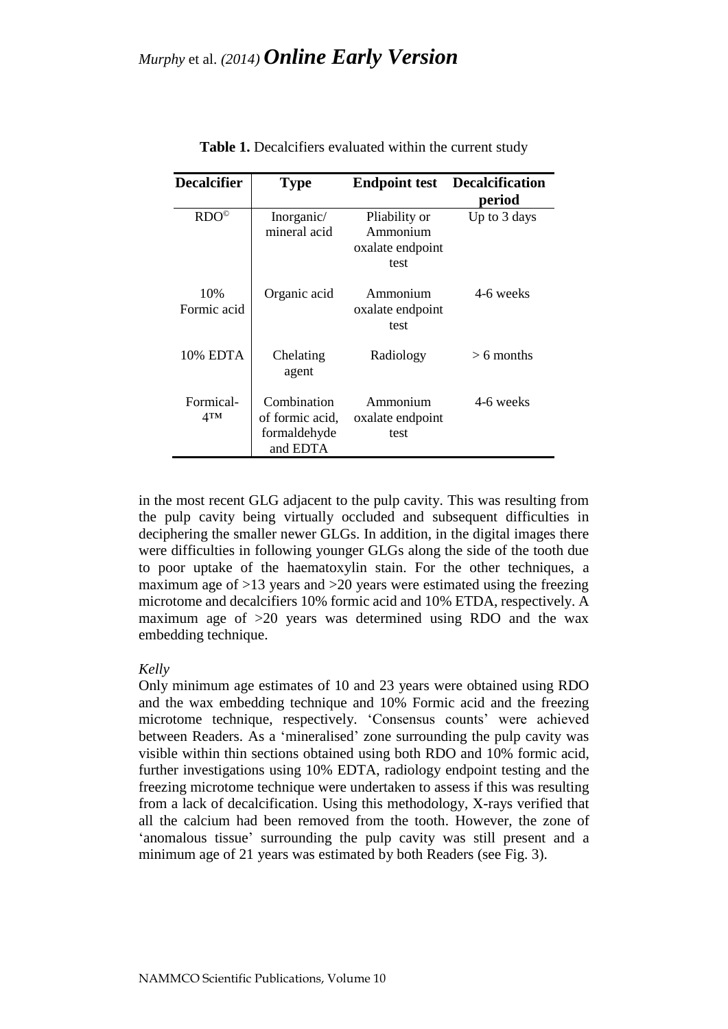| <b>Decalcifier</b>           | <b>Type</b>                                                | <b>Endpoint test</b>                                  | <b>Decalcification</b><br>period |
|------------------------------|------------------------------------------------------------|-------------------------------------------------------|----------------------------------|
| RDO <sup>°</sup>             | Inorganic/<br>mineral acid                                 | Pliability or<br>Ammonium<br>oxalate endpoint<br>test | Up to 3 days                     |
| 10%<br>Formic acid           | Organic acid                                               | Ammonium<br>oxalate endpoint<br>test                  | 4-6 weeks                        |
| 10% EDTA                     | Chelating<br>agent                                         | Radiology                                             | $> 6$ months                     |
| Formical-<br>4 <sub>TM</sub> | Combination<br>of formic acid,<br>formaldehyde<br>and EDTA | Ammonium<br>oxalate endpoint<br>test                  | 4-6 weeks                        |

| Table 1. Decalcifiers evaluated within the current study |  |
|----------------------------------------------------------|--|
|----------------------------------------------------------|--|

in the most recent GLG adjacent to the pulp cavity. This was resulting from the pulp cavity being virtually occluded and subsequent difficulties in deciphering the smaller newer GLGs. In addition, in the digital images there were difficulties in following younger GLGs along the side of the tooth due to poor uptake of the haematoxylin stain. For the other techniques, a maximum age of >13 years and >20 years were estimated using the freezing microtome and decalcifiers 10% formic acid and 10% ETDA, respectively. A maximum age of >20 years was determined using RDO and the wax embedding technique.

#### *Kelly*

Only minimum age estimates of 10 and 23 years were obtained using RDO and the wax embedding technique and 10% Formic acid and the freezing microtome technique, respectively. 'Consensus counts' were achieved between Readers. As a 'mineralised' zone surrounding the pulp cavity was visible within thin sections obtained using both RDO and 10% formic acid, further investigations using 10% EDTA, radiology endpoint testing and the freezing microtome technique were undertaken to assess if this was resulting from a lack of decalcification. Using this methodology, X-rays verified that all the calcium had been removed from the tooth. However, the zone of 'anomalous tissue' surrounding the pulp cavity was still present and a minimum age of 21 years was estimated by both Readers (see Fig. 3).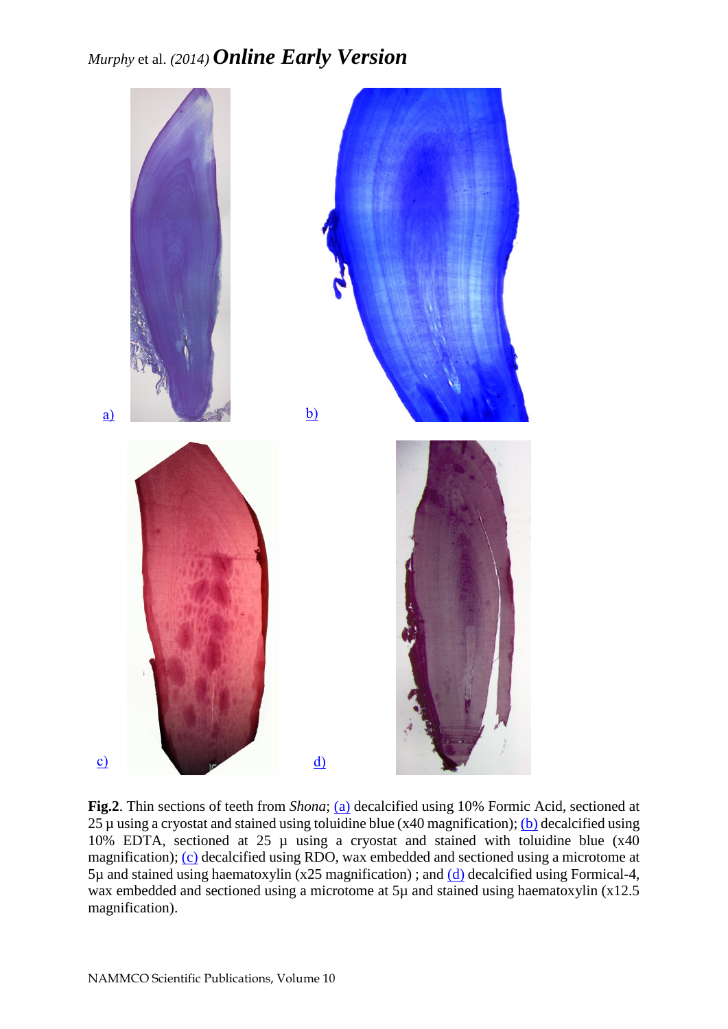

**Fig.2**. Thin sections of teeth from *Shona*; [\(a\)](http://septentrio.uit.no/index.php/NAMMCOSP/editor/downloadFile/3017/11730) decalcified using 10% Formic Acid, sectioned at 25  $\mu$  using a cryostat and stained using toluidine blue (x40 magnification); [\(b\)](http://septentrio.uit.no/index.php/NAMMCOSP/editor/downloadFile/3017/11731) decalcified using 10% EDTA, sectioned at 25 µ using a cryostat and stained with toluidine blue (x40 magnification); [\(c\)](http://septentrio.uit.no/index.php/NAMMCOSP/editor/downloadFile/3017/11732) decalcified using RDO, wax embedded and sectioned using a microtome at  $5\mu$  and stained using haematoxylin (x25 magnification); and [\(d\)](http://septentrio.uit.no/index.php/NAMMCOSP/editor/downloadFile/3017/11733) decalcified using Formical-4, wax embedded and sectioned using a microtome at 5µ and stained using haematoxylin (x12.5) magnification).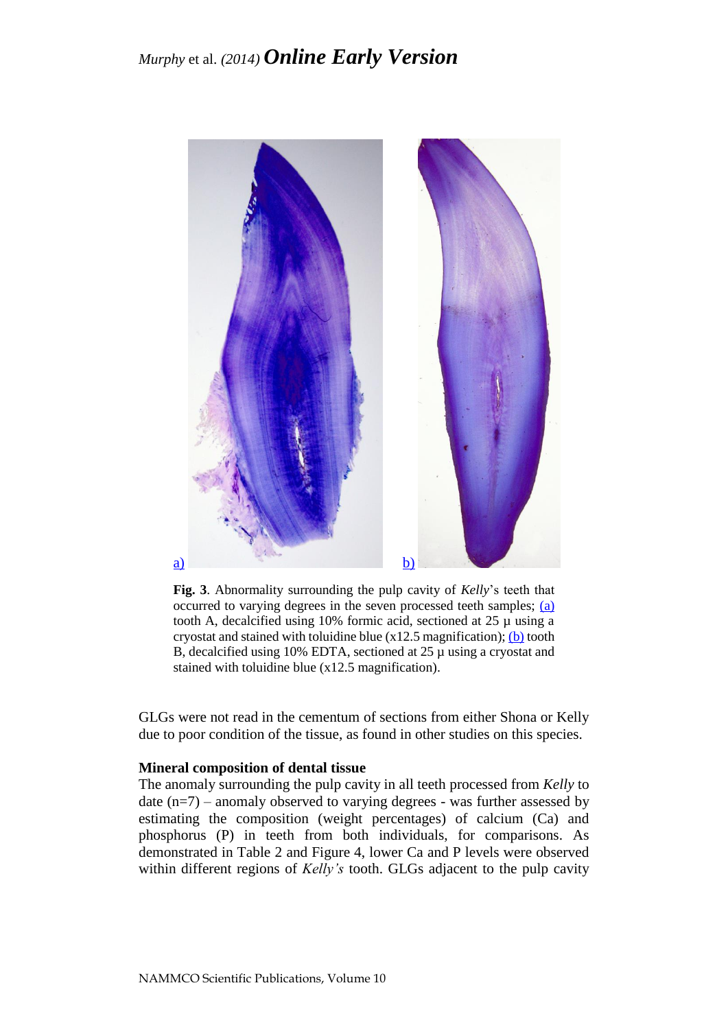

**Fig. 3**. Abnormality surrounding the pulp cavity of *Kelly*'s teeth that occurred to varying degrees in the seven processed teeth samples; [\(a\)](http://septentrio.uit.no/index.php/NAMMCOSP/editor/downloadFile/3017/11734) tooth A, decalcified using  $10\%$  formic acid, sectioned at  $25 \mu$  using a cryostat and stained with toluidine blue  $(x12.5 \text{ magnification});$  [\(b\)](http://septentrio.uit.no/index.php/NAMMCOSP/editor/downloadFile/3017/11735) tooth B, decalcified using 10% EDTA, sectioned at 25 µ using a cryostat and stained with toluidine blue (x12.5 magnification).

GLGs were not read in the cementum of sections from either Shona or Kelly due to poor condition of the tissue, as found in other studies on this species.

### **Mineral composition of dental tissue**

The anomaly surrounding the pulp cavity in all teeth processed from *Kelly* to date  $(n=7)$  – anomaly observed to varying degrees - was further assessed by estimating the composition (weight percentages) of calcium (Ca) and phosphorus (P) in teeth from both individuals, for comparisons. As demonstrated in Table 2 and Figure 4, lower Ca and P levels were observed within different regions of *Kelly's* tooth. GLGs adjacent to the pulp cavity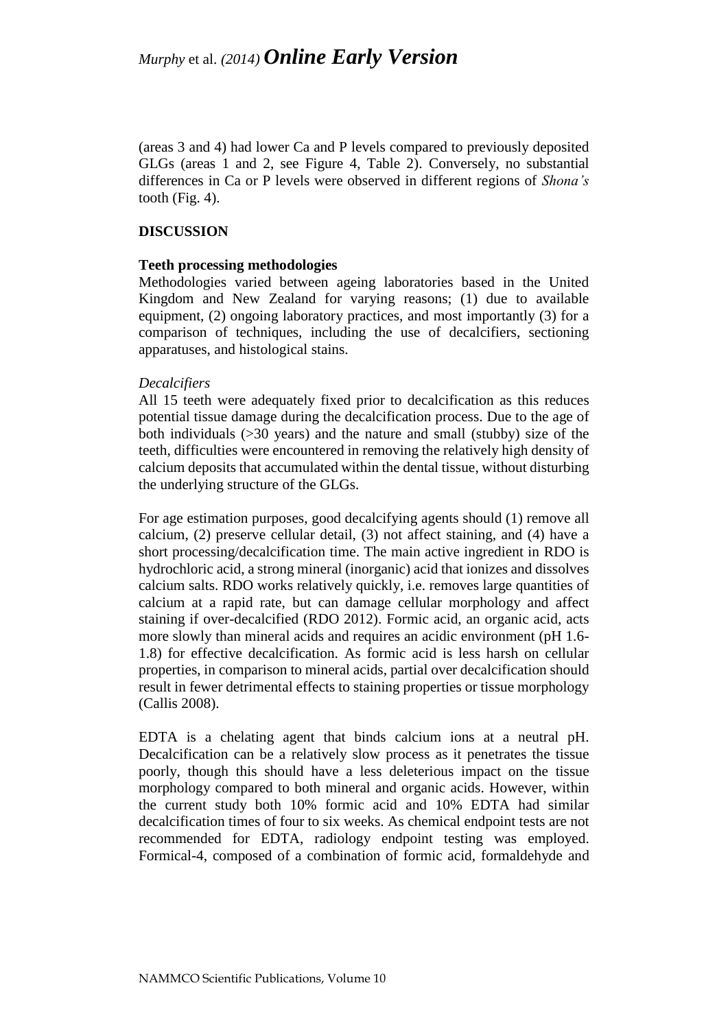(areas 3 and 4) had lower Ca and P levels compared to previously deposited GLGs (areas 1 and 2, see Figure 4, Table 2). Conversely, no substantial differences in Ca or P levels were observed in different regions of *Shona's* tooth (Fig. 4).

### **DISCUSSION**

#### **Teeth processing methodologies**

Methodologies varied between ageing laboratories based in the United Kingdom and New Zealand for varying reasons; (1) due to available equipment, (2) ongoing laboratory practices, and most importantly (3) for a comparison of techniques, including the use of decalcifiers, sectioning apparatuses, and histological stains.

### *Decalcifiers*

All 15 teeth were adequately fixed prior to decalcification as this reduces potential tissue damage during the decalcification process. Due to the age of both individuals (>30 years) and the nature and small (stubby) size of the teeth, difficulties were encountered in removing the relatively high density of calcium deposits that accumulated within the dental tissue, without disturbing the underlying structure of the GLGs.

For age estimation purposes, good decalcifying agents should (1) remove all calcium, (2) preserve cellular detail, (3) not affect staining, and (4) have a short processing/decalcification time. The main active ingredient in RDO is hydrochloric acid, a strong mineral (inorganic) acid that ionizes and dissolves calcium salts. RDO works relatively quickly, i.e. removes large quantities of calcium at a rapid rate, but can damage cellular morphology and affect staining if over-decalcified (RDO 2012). Formic acid, an organic acid, acts more slowly than mineral acids and requires an acidic environment (pH 1.6- 1.8) for effective decalcification. As formic acid is less harsh on cellular properties, in comparison to mineral acids, partial over decalcification should result in fewer detrimental effects to staining properties or tissue morphology (Callis 2008).

EDTA is a chelating agent that binds calcium ions at a neutral pH. Decalcification can be a relatively slow process as it penetrates the tissue poorly, though this should have a less deleterious impact on the tissue morphology compared to both mineral and organic acids. However, within the current study both 10% formic acid and 10% EDTA had similar decalcification times of four to six weeks. As chemical endpoint tests are not recommended for EDTA, radiology endpoint testing was employed. Formical-4, composed of a combination of formic acid, formaldehyde and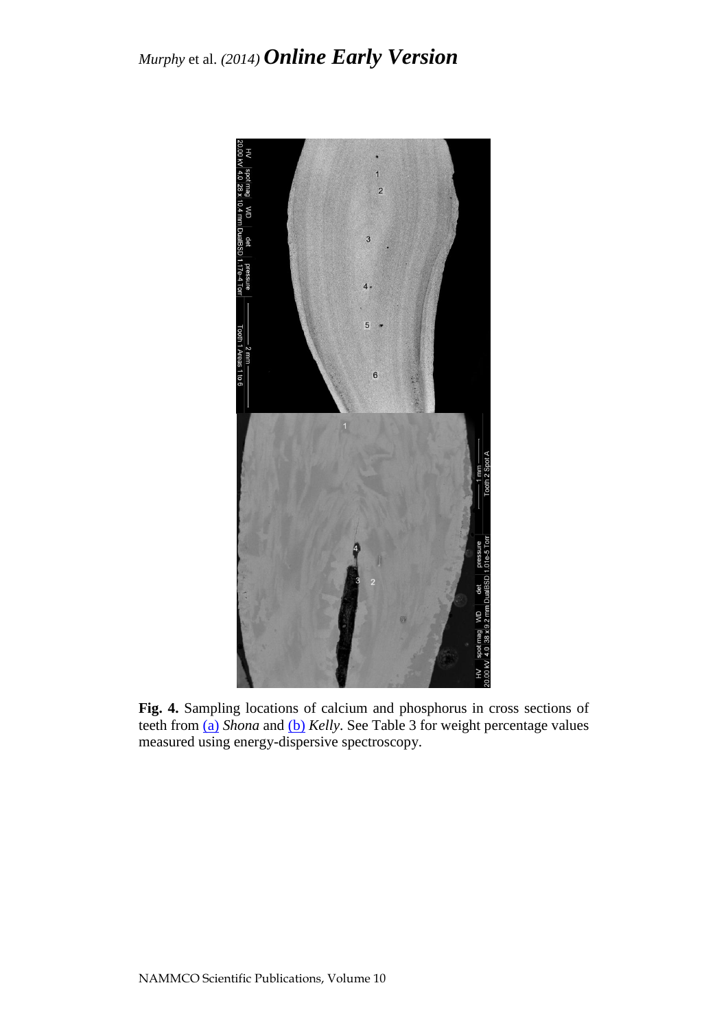

**Fig. 4.** Sampling locations of calcium and phosphorus in cross sections of teeth from [\(a\)](http://septentrio.uit.no/index.php/NAMMCOSP/editor/downloadFile/3017/11736) *Shona* and [\(b\)](http://septentrio.uit.no/index.php/NAMMCOSP/editor/downloadFile/3017/11737) *Kelly*. See Table 3 for weight percentage values measured using energy-dispersive spectroscopy.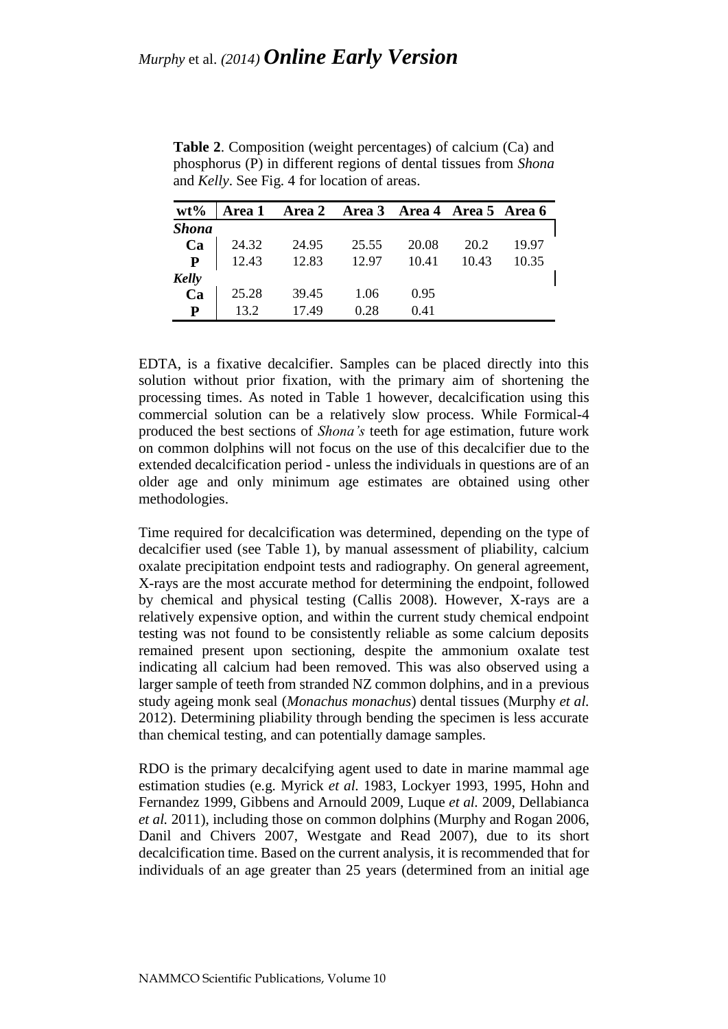| $wt\%$       | Area 1 | Area 2 Area 3 Area 4 Area 5 Area 6 |       |       |       |       |
|--------------|--------|------------------------------------|-------|-------|-------|-------|
| <b>Shona</b> |        |                                    |       |       |       |       |
| Ca           | 24.32  | 24.95                              | 25.55 | 20.08 | 20.2  | 19.97 |
| ${\bf P}$    | 12.43  | 12.83                              | 12.97 | 10.41 | 10.43 | 10.35 |
| Kelly        |        |                                    |       |       |       |       |
| Ca           | 25.28  | 39.45                              | 1.06  | 0.95  |       |       |
| P            | 13.2   | 17.49                              | 0.28  | 0.41  |       |       |

**Table 2**. Composition (weight percentages) of calcium (Ca) and phosphorus (P) in different regions of dental tissues from *Shona*  and *Kelly*. See Fig. 4 for location of areas.

EDTA, is a fixative decalcifier. Samples can be placed directly into this solution without prior fixation, with the primary aim of shortening the processing times. As noted in Table 1 however, decalcification using this commercial solution can be a relatively slow process. While Formical-4 produced the best sections of *Shona's* teeth for age estimation, future work on common dolphins will not focus on the use of this decalcifier due to the extended decalcification period - unless the individuals in questions are of an older age and only minimum age estimates are obtained using other methodologies.

Time required for decalcification was determined, depending on the type of decalcifier used (see Table 1), by manual assessment of pliability, calcium oxalate precipitation endpoint tests and radiography. On general agreement, X-rays are the most accurate method for determining the endpoint, followed by chemical and physical testing (Callis 2008). However, X-rays are a relatively expensive option, and within the current study chemical endpoint testing was not found to be consistently reliable as some calcium deposits remained present upon sectioning, despite the ammonium oxalate test indicating all calcium had been removed. This was also observed using a larger sample of teeth from stranded NZ common dolphins, and in a previous study ageing monk seal (*Monachus monachus*) dental tissues (Murphy *et al.* 2012). Determining pliability through bending the specimen is less accurate than chemical testing, and can potentially damage samples.

RDO is the primary decalcifying agent used to date in marine mammal age estimation studies (e.g. Myrick *et al.* 1983, Lockyer 1993, 1995, Hohn and Fernandez 1999, Gibbens and Arnould 2009, Luque *et al.* 2009, Dellabianca *et al.* 2011), including those on common dolphins (Murphy and Rogan 2006, Danil and Chivers 2007, Westgate and Read 2007), due to its short decalcification time. Based on the current analysis, it is recommended that for individuals of an age greater than 25 years (determined from an initial age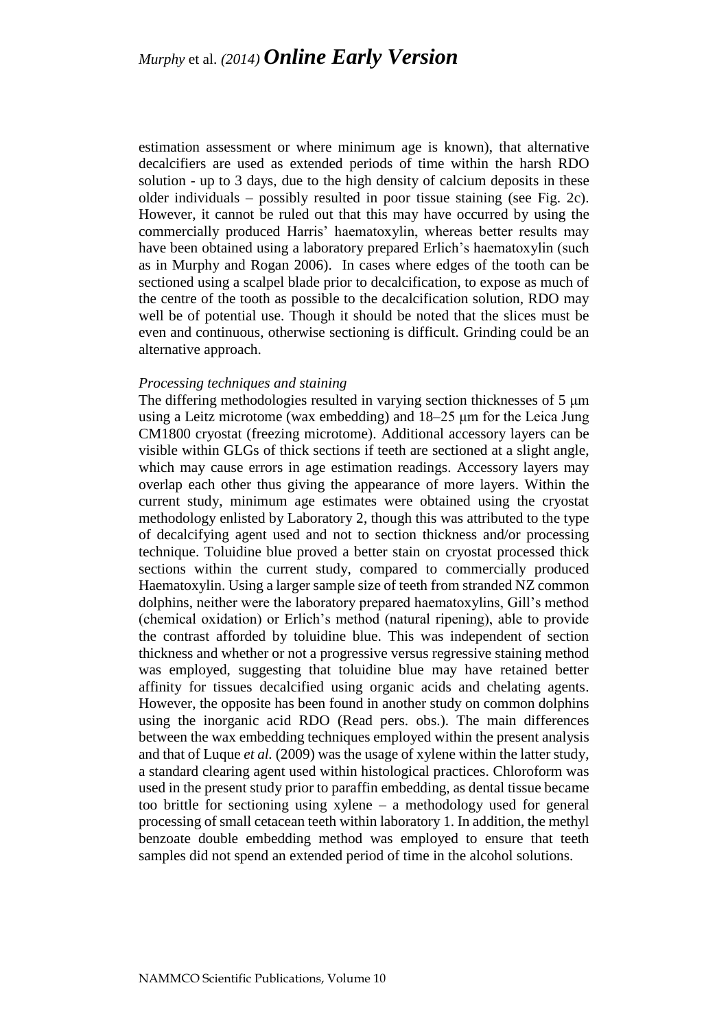estimation assessment or where minimum age is known), that alternative decalcifiers are used as extended periods of time within the harsh RDO solution - up to 3 days, due to the high density of calcium deposits in these older individuals – possibly resulted in poor tissue staining (see Fig. 2c). However, it cannot be ruled out that this may have occurred by using the commercially produced Harris' haematoxylin, whereas better results may have been obtained using a laboratory prepared Erlich's haematoxylin (such as in Murphy and Rogan 2006). In cases where edges of the tooth can be sectioned using a scalpel blade prior to decalcification, to expose as much of the centre of the tooth as possible to the decalcification solution, RDO may well be of potential use. Though it should be noted that the slices must be even and continuous, otherwise sectioning is difficult. Grinding could be an alternative approach.

#### *Processing techniques and staining*

The differing methodologies resulted in varying section thicknesses of 5 μm using a Leitz microtome (wax embedding) and 18–25 μm for the Leica Jung CM1800 cryostat (freezing microtome). Additional accessory layers can be visible within GLGs of thick sections if teeth are sectioned at a slight angle, which may cause errors in age estimation readings. Accessory layers may overlap each other thus giving the appearance of more layers. Within the current study, minimum age estimates were obtained using the cryostat methodology enlisted by Laboratory 2, though this was attributed to the type of decalcifying agent used and not to section thickness and/or processing technique. Toluidine blue proved a better stain on cryostat processed thick sections within the current study, compared to commercially produced Haematoxylin. Using a larger sample size of teeth from stranded NZ common dolphins, neither were the laboratory prepared haematoxylins, Gill's method (chemical oxidation) or Erlich's method (natural ripening), able to provide the contrast afforded by toluidine blue. This was independent of section thickness and whether or not a progressive versus regressive staining method was employed, suggesting that toluidine blue may have retained better affinity for tissues decalcified using organic acids and chelating agents. However, the opposite has been found in another study on common dolphins using the inorganic acid RDO (Read pers. obs.). The main differences between the wax embedding techniques employed within the present analysis and that of Luque *et al.* (2009) was the usage of xylene within the latter study, a standard clearing agent used within histological practices. Chloroform was used in the present study prior to paraffin embedding, as dental tissue became too brittle for sectioning using xylene – a methodology used for general processing of small cetacean teeth within laboratory 1. In addition, the methyl benzoate double embedding method was employed to ensure that teeth samples did not spend an extended period of time in the alcohol solutions.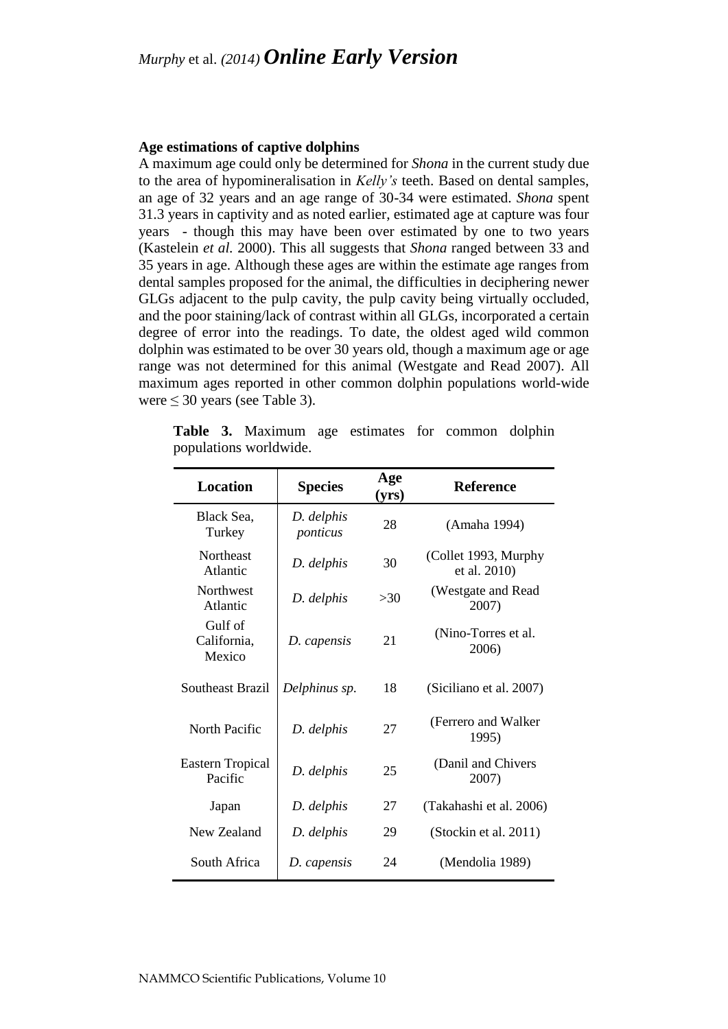#### **Age estimations of captive dolphins**

A maximum age could only be determined for *Shona* in the current study due to the area of hypomineralisation in *Kelly's* teeth. Based on dental samples, an age of 32 years and an age range of 30-34 were estimated. *Shona* spent 31.3 years in captivity and as noted earlier, estimated age at capture was four years - though this may have been over estimated by one to two years (Kastelein *et al.* 2000). This all suggests that *Shona* ranged between 33 and 35 years in age. Although these ages are within the estimate age ranges from dental samples proposed for the animal, the difficulties in deciphering newer GLGs adjacent to the pulp cavity, the pulp cavity being virtually occluded, and the poor staining/lack of contrast within all GLGs, incorporated a certain degree of error into the readings. To date, the oldest aged wild common dolphin was estimated to be over 30 years old, though a maximum age or age range was not determined for this animal (Westgate and Read 2007). All maximum ages reported in other common dolphin populations world-wide were ≤ 30 years (see Table 3).

| <b>Location</b>                    | <b>Species</b>         | Age<br>(yrs) | <b>Reference</b>                     |
|------------------------------------|------------------------|--------------|--------------------------------------|
| Black Sea,<br>Turkey               | D. delphis<br>ponticus | 28           | (Amaha 1994)                         |
| <b>Northeast</b><br>Atlantic       | D. delphis             | 30           | (Collet 1993, Murphy<br>et al. 2010) |
| <b>Northwest</b><br>Atlantic       | D. delphis             | >30          | (Westgate and Read<br>2007)          |
| Gulf of<br>California,<br>Mexico   | D. capensis            | 21           | (Nino-Torres et al.<br>2006)         |
| <b>Southeast Brazil</b>            | Delphinus sp.          | 18           | (Siciliano et al. 2007)              |
| North Pacific                      | D. delphis             | 27           | (Ferrero and Walker)<br>1995)        |
| <b>Eastern Tropical</b><br>Pacific | D. delphis             | 25           | (Danil and Chivers<br>2007)          |
| Japan                              | D. delphis             | 27           | (Takahashi et al. 2006)              |
| New Zealand                        | D. delphis             | 29           | (Stockin et al. 2011)                |
| South Africa                       | D. capensis            | 24           | (Mendolia 1989)                      |

**Table 3.** Maximum age estimates for common dolphin populations worldwide.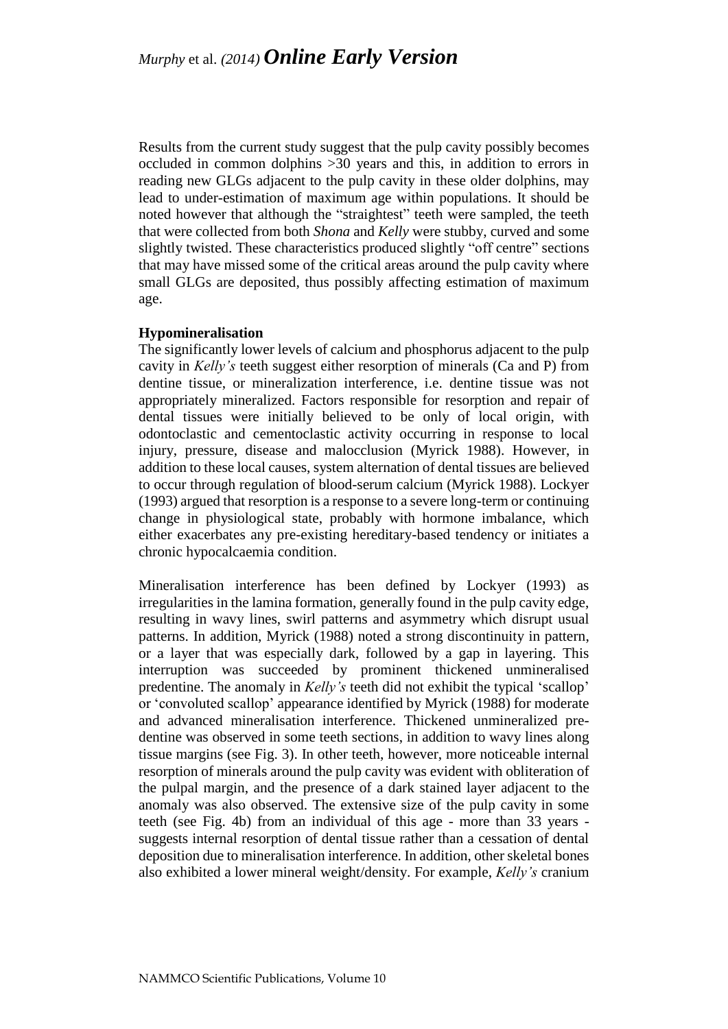Results from the current study suggest that the pulp cavity possibly becomes occluded in common dolphins >30 years and this, in addition to errors in reading new GLGs adjacent to the pulp cavity in these older dolphins, may lead to under-estimation of maximum age within populations. It should be noted however that although the "straightest" teeth were sampled, the teeth that were collected from both *Shona* and *Kelly* were stubby, curved and some slightly twisted. These characteristics produced slightly "off centre" sections that may have missed some of the critical areas around the pulp cavity where small GLGs are deposited, thus possibly affecting estimation of maximum age.

### **Hypomineralisation**

The significantly lower levels of calcium and phosphorus adjacent to the pulp cavity in *Kelly's* teeth suggest either resorption of minerals (Ca and P) from dentine tissue, or mineralization interference, i.e. dentine tissue was not appropriately mineralized. Factors responsible for resorption and repair of dental tissues were initially believed to be only of local origin, with odontoclastic and cementoclastic activity occurring in response to local injury, pressure, disease and malocclusion (Myrick 1988). However, in addition to these local causes, system alternation of dental tissues are believed to occur through regulation of blood-serum calcium (Myrick 1988). Lockyer (1993) argued that resorption is a response to a severe long-term or continuing change in physiological state, probably with hormone imbalance, which either exacerbates any pre-existing hereditary-based tendency or initiates a chronic hypocalcaemia condition.

Mineralisation interference has been defined by Lockyer (1993) as irregularities in the lamina formation, generally found in the pulp cavity edge, resulting in wavy lines, swirl patterns and asymmetry which disrupt usual patterns. In addition, Myrick (1988) noted a strong discontinuity in pattern, or a layer that was especially dark, followed by a gap in layering. This interruption was succeeded by prominent thickened unmineralised predentine. The anomaly in *Kelly's* teeth did not exhibit the typical 'scallop' or 'convoluted scallop' appearance identified by Myrick (1988) for moderate and advanced mineralisation interference. Thickened unmineralized predentine was observed in some teeth sections, in addition to wavy lines along tissue margins (see Fig. 3). In other teeth, however, more noticeable internal resorption of minerals around the pulp cavity was evident with obliteration of the pulpal margin, and the presence of a dark stained layer adjacent to the anomaly was also observed. The extensive size of the pulp cavity in some teeth (see Fig. 4b) from an individual of this age - more than 33 years suggests internal resorption of dental tissue rather than a cessation of dental deposition due to mineralisation interference. In addition, other skeletal bones also exhibited a lower mineral weight/density. For example, *Kelly's* cranium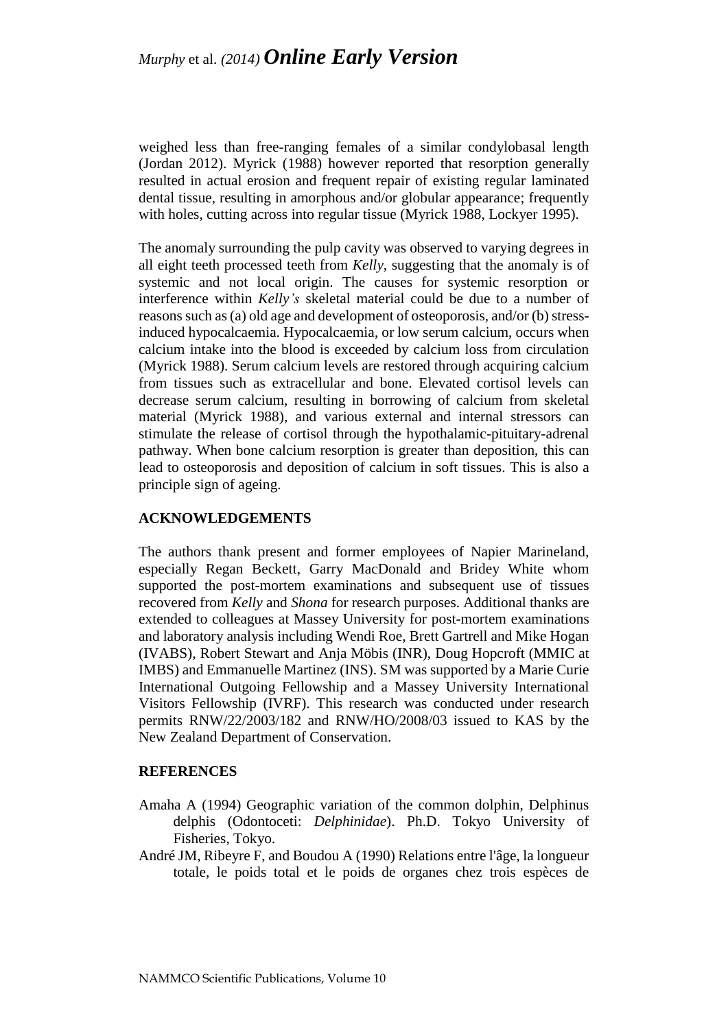weighed less than free-ranging females of a similar condylobasal length (Jordan 2012). Myrick (1988) however reported that resorption generally resulted in actual erosion and frequent repair of existing regular laminated dental tissue, resulting in amorphous and/or globular appearance; frequently with holes, cutting across into regular tissue (Myrick 1988, Lockyer 1995).

The anomaly surrounding the pulp cavity was observed to varying degrees in all eight teeth processed teeth from *Kelly*, suggesting that the anomaly is of systemic and not local origin. The causes for systemic resorption or interference within *Kelly's* skeletal material could be due to a number of reasons such as (a) old age and development of osteoporosis, and/or (b) stressinduced hypocalcaemia. Hypocalcaemia, or low serum calcium, occurs when calcium intake into the blood is exceeded by calcium loss from circulation (Myrick 1988). Serum calcium levels are restored through acquiring calcium from tissues such as extracellular and bone. Elevated cortisol levels can decrease serum calcium, resulting in borrowing of calcium from skeletal material (Myrick 1988), and various external and internal stressors can stimulate the release of cortisol through the hypothalamic-pituitary-adrenal pathway. When bone calcium resorption is greater than deposition, this can lead to osteoporosis and deposition of calcium in soft tissues. This is also a principle sign of ageing.

## **ACKNOWLEDGEMENTS**

The authors thank present and former employees of Napier Marineland, especially Regan Beckett, Garry MacDonald and Bridey White whom supported the post-mortem examinations and subsequent use of tissues recovered from *Kelly* and *Shona* for research purposes. Additional thanks are extended to colleagues at Massey University for post-mortem examinations and laboratory analysis including Wendi Roe, Brett Gartrell and Mike Hogan (IVABS), Robert Stewart and Anja Möbis (INR), Doug Hopcroft (MMIC at IMBS) and Emmanuelle Martinez (INS). SM was supported by a Marie Curie International Outgoing Fellowship and a Massey University International Visitors Fellowship (IVRF). This research was conducted under research permits RNW/22/2003/182 and RNW/HO/2008/03 issued to KAS by the New Zealand Department of Conservation.

## **REFERENCES**

- Amaha A (1994) Geographic variation of the common dolphin, Delphinus delphis (Odontoceti: *Delphinidae*). Ph.D. Tokyo University of Fisheries, Tokyo.
- André JM, Ribeyre F, and Boudou A (1990) Relations entre l'âge, la longueur totale, le poids total et le poids de organes chez trois espèces de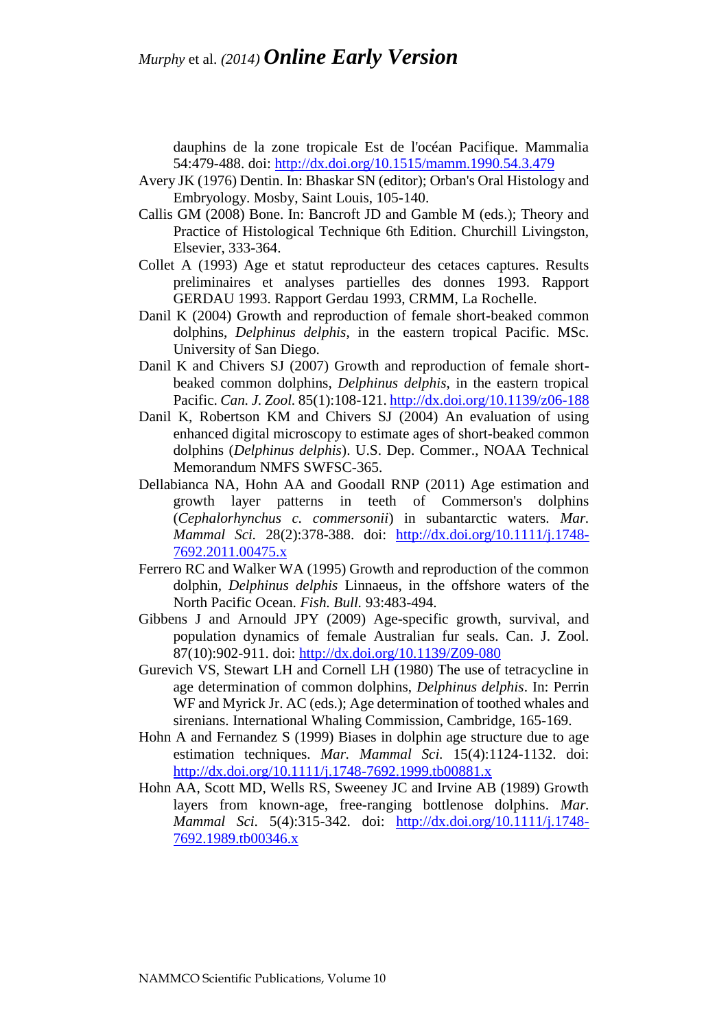dauphins de la zone tropicale Est de l'océan Pacifique. Mammalia 54:479-488. doi:<http://dx.doi.org/10.1515/mamm.1990.54.3.479>

- Avery JK (1976) Dentin. In: Bhaskar SN (editor); Orban's Oral Histology and Embryology. Mosby, Saint Louis, 105-140.
- Callis GM (2008) Bone. In: Bancroft JD and Gamble M (eds.); Theory and Practice of Histological Technique 6th Edition. Churchill Livingston, Elsevier, 333-364.
- Collet A (1993) Age et statut reproducteur des cetaces captures. Results preliminaires et analyses partielles des donnes 1993. Rapport GERDAU 1993. Rapport Gerdau 1993, CRMM, La Rochelle.
- Danil K (2004) Growth and reproduction of female short-beaked common dolphins, *Delphinus delphis*, in the eastern tropical Pacific. MSc. University of San Diego.
- Danil K and Chivers SJ (2007) Growth and reproduction of female shortbeaked common dolphins, *Delphinus delphis*, in the eastern tropical Pacific. *Can. J. Zool.* 85(1):108-121. <http://dx.doi.org/10.1139/z06-188>
- Danil K, Robertson KM and Chivers SJ (2004) An evaluation of using enhanced digital microscopy to estimate ages of short-beaked common dolphins (*Delphinus delphis*). U.S. Dep. Commer., NOAA Technical Memorandum NMFS SWFSC-365.
- Dellabianca NA, Hohn AA and Goodall RNP (2011) Age estimation and growth layer patterns in teeth of Commerson's dolphins (*Cephalorhynchus c. commersonii*) in subantarctic waters. *Mar. Mammal Sci.* 28(2):378-388. doi: [http://dx.doi.org/10.1111/j.1748-](http://dx.doi.org/10.1111/j.1748-7692.2011.00475.x) [7692.2011.00475.x](http://dx.doi.org/10.1111/j.1748-7692.2011.00475.x)
- Ferrero RC and Walker WA (1995) Growth and reproduction of the common dolphin, *Delphinus delphis* Linnaeus, in the offshore waters of the North Pacific Ocean. *Fish. Bull.* 93:483-494.
- Gibbens J and Arnould JPY (2009) Age-specific growth, survival, and population dynamics of female Australian fur seals. Can. J. Zool. 87(10):902-911. doi:<http://dx.doi.org/10.1139/Z09-080>
- Gurevich VS, Stewart LH and Cornell LH (1980) The use of tetracycline in age determination of common dolphins, *Delphinus delphis*. In: Perrin WF and Myrick Jr. AC (eds.); Age determination of toothed whales and sirenians. International Whaling Commission, Cambridge, 165-169.
- Hohn A and Fernandez S (1999) Biases in dolphin age structure due to age estimation techniques. *Mar. Mammal Sci.* 15(4):1124-1132. doi: <http://dx.doi.org/10.1111/j.1748-7692.1999.tb00881.x>
- Hohn AA, Scott MD, Wells RS, Sweeney JC and Irvine AB (1989) Growth layers from known-age, free-ranging bottlenose dolphins. *Mar. Mammal Sci.* 5(4):315-342. doi: [http://dx.doi.org/10.1111/j.1748-](http://dx.doi.org/10.1111/j.1748-7692.1989.tb00346.x) [7692.1989.tb00346.x](http://dx.doi.org/10.1111/j.1748-7692.1989.tb00346.x)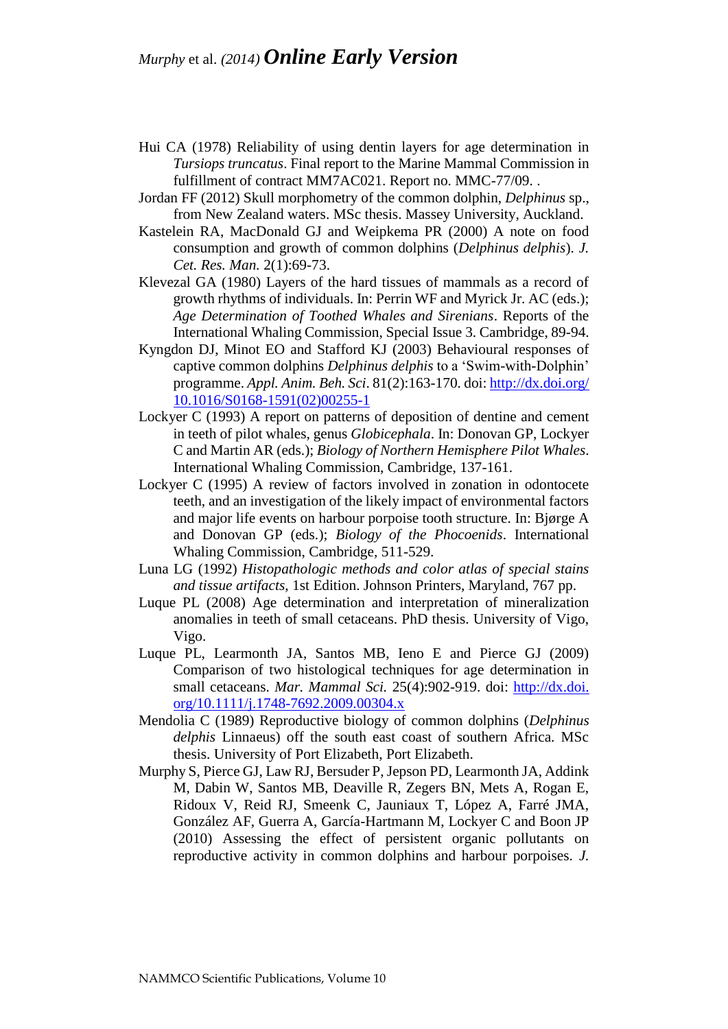- Hui CA (1978) Reliability of using dentin layers for age determination in *Tursiops truncatus*. Final report to the Marine Mammal Commission in fulfillment of contract MM7AC021. Report no. MMC-77/09. .
- Jordan FF (2012) Skull morphometry of the common dolphin, *Delphinus* sp., from New Zealand waters. MSc thesis. Massey University, Auckland.
- Kastelein RA, MacDonald GJ and Weipkema PR (2000) A note on food consumption and growth of common dolphins (*Delphinus delphis*). *J. Cet. Res. Man.* 2(1):69-73.
- Klevezal GA (1980) Layers of the hard tissues of mammals as a record of growth rhythms of individuals. In: Perrin WF and Myrick Jr. AC (eds.); *Age Determination of Toothed Whales and Sirenians*. Reports of the International Whaling Commission, Special Issue 3. Cambridge, 89-94.
- Kyngdon DJ, Minot EO and Stafford KJ (2003) Behavioural responses of captive common dolphins *Delphinus delphis* to a 'Swim-with-Dolphin' programme. *Appl. Anim. Beh. Sci*. 81(2):163-170. doi[: http://dx.doi.org/](http://dx.doi.org/10.1016/S0168-1591(02)00255-1) [10.1016/S0168-1591\(02\)00255-1](http://dx.doi.org/10.1016/S0168-1591(02)00255-1)
- Lockyer C (1993) A report on patterns of deposition of dentine and cement in teeth of pilot whales, genus *Globicephala*. In: Donovan GP, Lockyer C and Martin AR (eds.); *Biology of Northern Hemisphere Pilot Whales*. International Whaling Commission, Cambridge, 137-161.
- Lockyer C (1995) A review of factors involved in zonation in odontocete teeth, and an investigation of the likely impact of environmental factors and major life events on harbour porpoise tooth structure. In: Bjørge A and Donovan GP (eds.); *Biology of the Phocoenids*. International Whaling Commission, Cambridge, 511-529.
- Luna LG (1992) *Histopathologic methods and color atlas of special stains and tissue artifacts*, 1st Edition. Johnson Printers, Maryland, 767 pp.
- Luque PL (2008) Age determination and interpretation of mineralization anomalies in teeth of small cetaceans. PhD thesis. University of Vigo, Vigo.
- Luque PL, Learmonth JA, Santos MB, Ieno E and Pierce GJ (2009) Comparison of two histological techniques for age determination in small cetaceans. *Mar. Mammal Sci.* 25(4):902-919. doi: [http://dx.doi.](http://dx.doi.org/10.1111/j.1748-7692.2009.00304.x) [org/10.1111/j.1748-7692.2009.00304.x](http://dx.doi.org/10.1111/j.1748-7692.2009.00304.x)
- Mendolia C (1989) Reproductive biology of common dolphins (*Delphinus delphis* Linnaeus) off the south east coast of southern Africa. MSc thesis. University of Port Elizabeth, Port Elizabeth.
- Murphy S, Pierce GJ, Law RJ, Bersuder P, Jepson PD, Learmonth JA, Addink M, Dabin W, Santos MB, Deaville R, Zegers BN, Mets A, Rogan E, Ridoux V, Reid RJ, Smeenk C, Jauniaux T, López A, Farré JMA, González AF, Guerra A, García-Hartmann M, Lockyer C and Boon JP (2010) Assessing the effect of persistent organic pollutants on reproductive activity in common dolphins and harbour porpoises. *J.*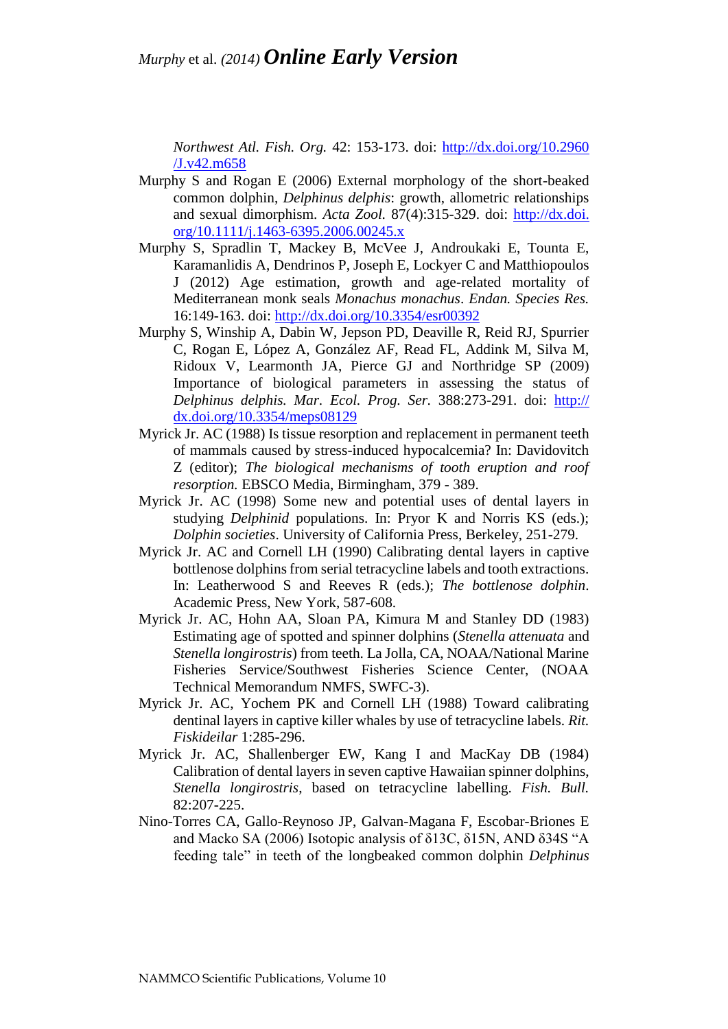*Northwest Atl. Fish. Org.* 42: 153-173. doi: [http://dx.doi.org/10.2960](http://dx.doi.org/10.2960/J.v42.m658) [/J.v42.m658](http://dx.doi.org/10.2960/J.v42.m658)

- Murphy S and Rogan E (2006) External morphology of the short-beaked common dolphin, *Delphinus delphis*: growth, allometric relationships and sexual dimorphism. *Acta Zool.* 87(4):315-329. doi: [http://dx.doi.](http://dx.doi.org/10.1111/j.1463-6395.2006.00245.x) [org/10.1111/j.1463-6395.2006.00245.x](http://dx.doi.org/10.1111/j.1463-6395.2006.00245.x)
- Murphy S, Spradlin T, Mackey B, McVee J, Androukaki E, Tounta E, Karamanlidis A, Dendrinos P, Joseph E, Lockyer C and Matthiopoulos J (2012) Age estimation, growth and age-related mortality of Mediterranean monk seals *Monachus monachus*. *Endan. Species Res.* 16:149-163. doi:<http://dx.doi.org/10.3354/esr00392>
- Murphy S, Winship A, Dabin W, Jepson PD, Deaville R, Reid RJ, Spurrier C, Rogan E, López A, González AF, Read FL, Addink M, Silva M, Ridoux V, Learmonth JA, Pierce GJ and Northridge SP (2009) Importance of biological parameters in assessing the status of *Delphinus delphis. Mar. Ecol. Prog. Ser.* 388:273-291. doi: [http://](http://dx.doi.org/10.3354/meps08129) [dx.doi.org/10.3354/meps08129](http://dx.doi.org/10.3354/meps08129)
- Myrick Jr. AC (1988) Is tissue resorption and replacement in permanent teeth of mammals caused by stress-induced hypocalcemia? In: Davidovitch Z (editor); *The biological mechanisms of tooth eruption and roof resorption.* EBSCO Media, Birmingham, 379 - 389.
- Myrick Jr. AC (1998) Some new and potential uses of dental layers in studying *Delphinid* populations. In: Pryor K and Norris KS (eds.); *Dolphin societies*. University of California Press, Berkeley, 251-279.
- Myrick Jr. AC and Cornell LH (1990) Calibrating dental layers in captive bottlenose dolphins from serial tetracycline labels and tooth extractions. In: Leatherwood S and Reeves R (eds.); *The bottlenose dolphin*. Academic Press, New York, 587-608.
- Myrick Jr. AC, Hohn AA, Sloan PA, Kimura M and Stanley DD (1983) Estimating age of spotted and spinner dolphins (*Stenella attenuata* and *Stenella longirostris*) from teeth. La Jolla, CA, NOAA/National Marine Fisheries Service/Southwest Fisheries Science Center, (NOAA Technical Memorandum NMFS, SWFC-3).
- Myrick Jr. AC, Yochem PK and Cornell LH (1988) Toward calibrating dentinal layers in captive killer whales by use of tetracycline labels. *Rit. Fiskideilar* 1:285-296.
- Myrick Jr. AC, Shallenberger EW, Kang I and MacKay DB (1984) Calibration of dental layers in seven captive Hawaiian spinner dolphins, *Stenella longirostris*, based on tetracycline labelling. *Fish. Bull.* 82:207-225.
- Nino-Torres CA, Gallo-Reynoso JP, Galvan-Magana F, Escobar-Briones E and Macko SA (2006) Isotopic analysis of δ13C, δ15N, AND δ34S "A feeding tale" in teeth of the longbeaked common dolphin *Delphinus*